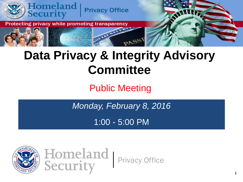

### **Data Privacy & Integrity Advisory Committee**

### Public Meeting

*Monday, February 8, 2016*

1:00 - 5:00 PM



 $\mathbf{1}$ Privacy Office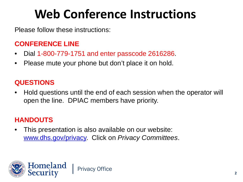### **Web Conference Instructions**

Please follow these instructions:

#### **CONFERENCE LINE**

- Dial 1-800-779-1751 and enter passcode 2616286.
- Please mute your phone but don't place it on hold.

#### **QUESTIONS**

• Hold questions until the end of each session when the operator will open the line. DPIAC members have priority.

#### **HANDOUTS**

• This presentation is also available on our website: [www.dhs.gov/privacy.](http://www.dhs.gov/privacy) Click on *Privacy Committees*.

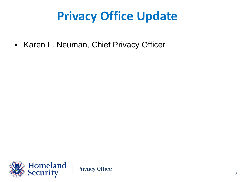### **Privacy Office Update**

• Karen L. Neuman, Chief Privacy Officer

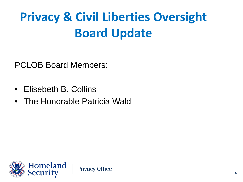### **Privacy & Civil Liberties Oversight Board Update**

PCLOB Board Members:

- Elisebeth B. Collins
- The Honorable Patricia Wald

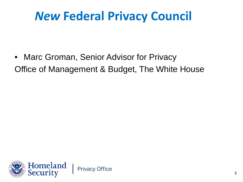### *New* **Federal Privacy Council**

• Marc Groman, Senior Advisor for Privacy Office of Management & Budget, The White House

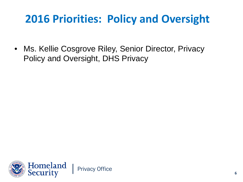### **2016 Priorities: Policy and Oversight**

• Ms. Kellie Cosgrove Riley, Senior Director, Privacy Policy and Oversight, DHS Privacy

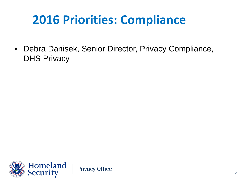### **2016 Priorities: Compliance**

• Debra Danisek, Senior Director, Privacy Compliance, DHS Privacy

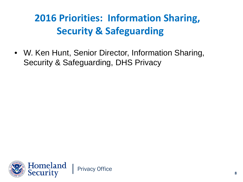### **2016 Priorities: Information Sharing, Security & Safeguarding**

• W. Ken Hunt, Senior Director, Information Sharing, Security & Safeguarding, DHS Privacy

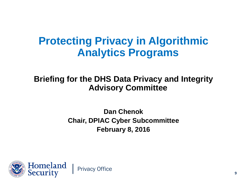### **Protecting Privacy in Algorithmic Analytics Programs**

#### **Briefing for the DHS Data Privacy and Integrity Advisory Committee**

**Dan Chenok Chair, DPIAC Cyber Subcommittee February 8, 2016**

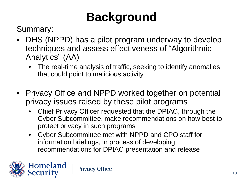### **Background**

Summary:

- DHS (NPPD) has a pilot program underway to develop techniques and assess effectiveness of "Algorithmic Analytics" (AA)
	- The real-time analysis of traffic, seeking to identify anomalies that could point to malicious activity
- Privacy Office and NPPD worked together on potential privacy issues raised by these pilot programs
	- Chief Privacy Officer requested that the DPIAC, through the Cyber Subcommittee, make recommendations on how best to protect privacy in such programs
	- Cyber Subcommittee met with NPPD and CPO staff for information briefings, in process of developing recommendations for DPIAC presentation and release

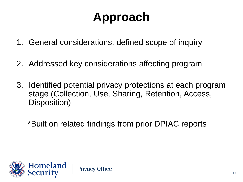### **Approach**

- 1. General considerations, defined scope of inquiry
- 2. Addressed key considerations affecting program
- 3. Identified potential privacy protections at each program stage (Collection, Use, Sharing, Retention, Access, Disposition)

\*Built on related findings from prior DPIAC reports

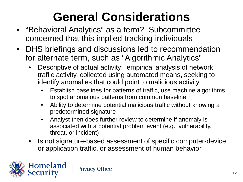- "Behavioral Analytics" as a term? Subcommittee concerned that this implied tracking individuals
- DHS briefings and discussions led to recommendation for alternate term, such as "Algorithmic Analytics"
	- Descriptive of actual activity: empirical analysis of network traffic activity, collected using automated means, seeking to identify anomalies that could point to malicious activity
		- Establish baselines for patterns of traffic, use machine algorithms to spot anomalous patterns from common baseline
		- Ability to determine potential malicious traffic without knowing a predetermined signature
		- Analyst then does further review to determine if anomaly is associated with a potential problem event (e.g., vulnerability, threat, or incident)
	- Is not signature-based assessment of specific computer-device or application traffic, or assessment of human behavior

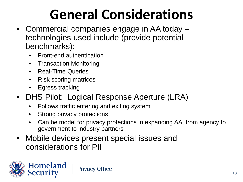- Commercial companies engage in AA today technologies used include (provide potential benchmarks):
	- Front-end authentication
	- Transaction Monitoring
	- Real-Time Queries
	- Risk scoring matrices
	- Egress tracking
- DHS Pilot: Logical Response Aperture (LRA)
	- Follows traffic entering and exiting system
	- Strong privacy protections
	- Can be model for privacy protections in expanding AA, from agency to government to industry partners
- Mobile devices present special issues and considerations for PII

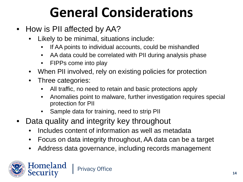- How is PII affected by AA?
	- Likely to be minimal, situations include:
		- If AA points to individual accounts, could be mishandled
		- AA data could be correlated with PII during analysis phase
		- FIPPs come into play
	- When PII involved, rely on existing policies for protection
	- Three categories:
		- All traffic, no need to retain and basic protections apply
		- Anomalies point to malware, further investigation requires special protection for PII
		- Sample data for training, need to strip PII
- Data quality and integrity key throughout
	- Includes content of information as well as metadata
	- Focus on data integrity throughout, AA data can be a target
	- Address data governance, including records management

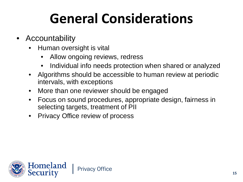- **Accountability** 
	- Human oversight is vital
		- Allow ongoing reviews, redress
		- Individual info needs protection when shared or analyzed
	- Algorithms should be accessible to human review at periodic intervals, with exceptions
	- More than one reviewer should be engaged
	- Focus on sound procedures, appropriate design, fairness in selecting targets, treatment of PII
	- Privacy Office review of process

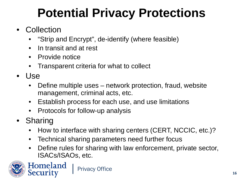### **Potential Privacy Protections**

- Collection
	- "Strip and Encrypt", de-identify (where feasible)
	- In transit and at rest
	- Provide notice
	- Transparent criteria for what to collect
- Use
	- Define multiple uses network protection, fraud, website management, criminal acts, etc.
	- Establish process for each use, and use limitations
	- Protocols for follow-up analysis
- Sharing

Homeland

- How to interface with sharing centers (CERT, NCCIC, etc.)?
- Technical sharing parameters need further focus
- Define rules for sharing with law enforcement, private sector, ISACs/ISAOs, etc.



Privacy Office 16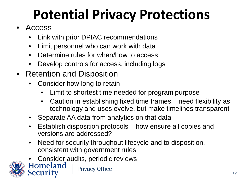# **Potential Privacy Protections**

- Access
	- Link with prior DPIAC recommendations
	- Limit personnel who can work with data
	- Determine rules for when/how to access
	- Develop controls for access, including logs
- Retention and Disposition
	- Consider how long to retain
		- Limit to shortest time needed for program purpose
		- Caution in establishing fixed time frames need flexibility as technology and uses evolve, but make timelines transparent
	- Separate AA data from analytics on that data
	- Establish disposition protocols how ensure all copies and versions are addressed?
	- Need for security throughout lifecycle and to disposition, consistent with government rules
	- Consider audits, periodic reviews<br>Homeland | Privacy Office

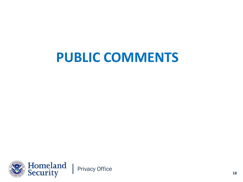### **PUBLIC COMMENTS**

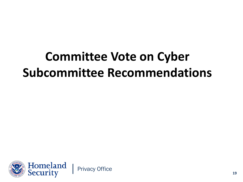### **Committee Vote on Cyber Subcommittee Recommendations**